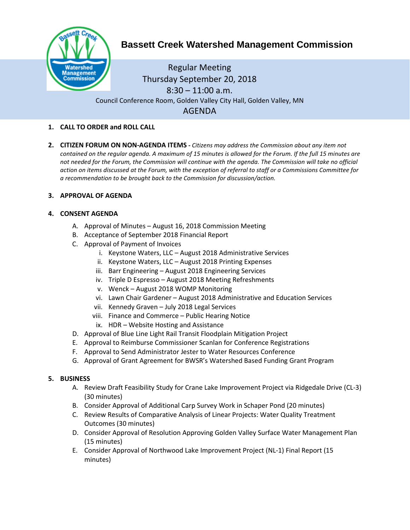

# **Bassett Creek Watershed Management Commission**

Regular Meeting Thursday September 20, 2018  $8:30 - 11:00$  a.m. Council Conference Room, Golden Valley City Hall, Golden Valley, MN AGENDA

# **1. CALL TO ORDER and ROLL CALL**

**2. CITIZEN FORUM ON NON-AGENDA ITEMS -** *Citizens may address the Commission about any item not contained on the regular agenda. A maximum of 15 minutes is allowed for the Forum. If the full 15 minutes are*  not needed for the Forum, the Commission will continue with the agenda. The Commission will take no official *action on items discussed at the Forum, with the exception of referral to staff or a Commissions Committee for a recommendation to be brought back to the Commission for discussion/action.*

## **3. APPROVAL OF AGENDA**

## **4. CONSENT AGENDA**

- A. Approval of Minutes August 16, 2018 Commission Meeting
- B. Acceptance of September 2018 Financial Report
- C. Approval of Payment of Invoices
	- i. Keystone Waters, LLC August 2018 Administrative Services
	- ii. Keystone Waters, LLC August 2018 Printing Expenses
	- iii. Barr Engineering August 2018 Engineering Services
	- iv. Triple D Espresso August 2018 Meeting Refreshments
	- v. Wenck August 2018 WOMP Monitoring
	- vi. Lawn Chair Gardener August 2018 Administrative and Education Services
	- vii. Kennedy Graven July 2018 Legal Services
	- viii. Finance and Commerce Public Hearing Notice
	- ix. HDR Website Hosting and Assistance
- D. Approval of Blue Line Light Rail Transit Floodplain Mitigation Project
- E. Approval to Reimburse Commissioner Scanlan for Conference Registrations
- F. Approval to Send Administrator Jester to Water Resources Conference
- G. Approval of Grant Agreement for BWSR's Watershed Based Funding Grant Program

#### **5. BUSINESS**

- A. Review Draft Feasibility Study for Crane Lake Improvement Project via Ridgedale Drive (CL-3) (30 minutes)
- B. Consider Approval of Additional Carp Survey Work in Schaper Pond (20 minutes)
- C. Review Results of Comparative Analysis of Linear Projects: Water Quality Treatment Outcomes (30 minutes)
- D. Consider Approval of Resolution Approving Golden Valley Surface Water Management Plan (15 minutes)
- E. Consider Approval of Northwood Lake Improvement Project (NL-1) Final Report (15 minutes)